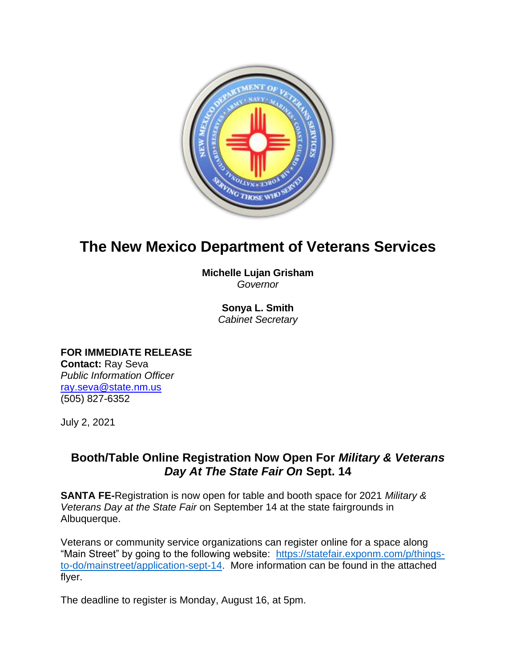

## **The New Mexico Department of Veterans Services**

**Michelle Lujan Grisham** *Governor*

> **Sonya L. Smith**  *Cabinet Secretary*

**FOR IMMEDIATE RELEASE Contact:** Ray Seva *Public Information Officer* [ray.seva@state.nm.us](mailto:ray.seva@state.nm.us) (505) 827-6352

July 2, 2021

## **Booth/Table Online Registration Now Open For** *Military & Veterans Day At The State Fair On* **Sept. 14**

**SANTA FE-**Registration is now open for table and booth space for 2021 *Military & Veterans Day at the State Fair* on September 14 at the state fairgrounds in Albuquerque.

Veterans or community service organizations can register online for a space along "Main Street" by going to the following website: [https://statefair.exponm.com/p/things](https://statefair.exponm.com/p/things-to-do/mainstreet/application-sept-14)[to-do/mainstreet/application-sept-14.](https://statefair.exponm.com/p/things-to-do/mainstreet/application-sept-14) More information can be found in the attached flyer.

The deadline to register is Monday, August 16, at 5pm.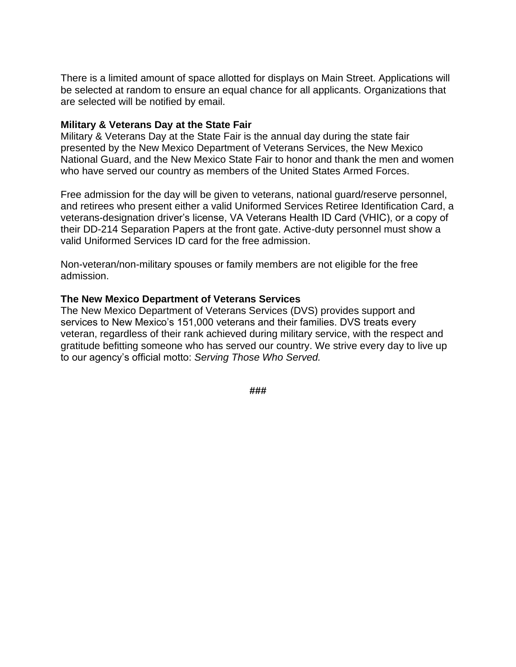There is a limited amount of space allotted for displays on Main Street. Applications will be selected at random to ensure an equal chance for all applicants. Organizations that are selected will be notified by email.

## **Military & Veterans Day at the State Fair**

Military & Veterans Day at the State Fair is the annual day during the state fair presented by the New Mexico Department of Veterans Services, the New Mexico National Guard, and the New Mexico State Fair to honor and thank the men and women who have served our country as members of the United States Armed Forces.

Free admission for the day will be given to veterans, national guard/reserve personnel, and retirees who present either a valid Uniformed Services Retiree Identification Card, a veterans-designation driver's license, VA Veterans Health ID Card (VHIC), or a copy of their DD-214 Separation Papers at the front gate. Active-duty personnel must show a valid Uniformed Services ID card for the free admission.

Non-veteran/non-military spouses or family members are not eligible for the free admission.

## **The New Mexico Department of Veterans Services**

The New Mexico Department of Veterans Services (DVS) provides support and services to New Mexico's 151,000 veterans and their families. DVS treats every veteran, regardless of their rank achieved during military service, with the respect and gratitude befitting someone who has served our country. We strive every day to live up to our agency's official motto: *Serving Those Who Served.*

*###*